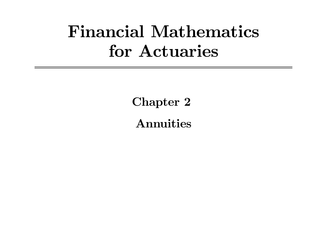# Financial Mathematics for Actuaries

Chapter 2 Annuities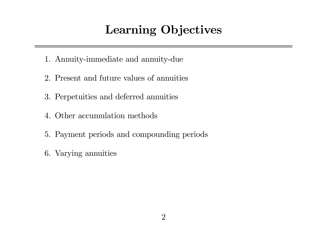## Learning Objectives

- 1. Annuity-immediate and annuity-due
- 2. Present and future values of annuities
- 3. Perpetuities and deferred annuities
- 4. Other accumulation methods
- 5. Payment periods and compounding periods
- 6. Varying annuities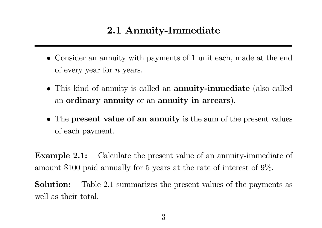#### 2.1 Annuity-Immediate

- Consider an annuity with payments of 1 unit each, made at the end of every year for n years.
- This kind of annuity is called an annuity-immediate (also called an ordinary annuity or an annuity in arrears).
- The **present value of an annuity** is the sum of the present values of each payment.

**Example 2.1:** Calculate the present value of an annuity-immediate of amount \$100 paid annually for 5 years at the rate of interest of 9%.

Solution: Table 2.1 summarizes the present values of the payments as well as their total.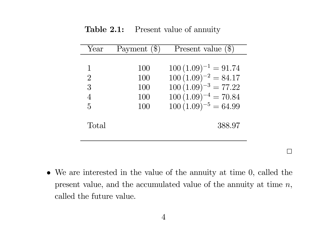**Table 2.1:** Present value of annuity

| Year           | Payment $(\$\)$ | Present value $(\$)$      |
|----------------|-----------------|---------------------------|
|                |                 |                           |
| 1              | 100             | $100 (1.09)^{-1} = 91.74$ |
| $\overline{2}$ | 100             | $100 (1.09)^{-2} = 84.17$ |
| 3              | 100             | $100 (1.09)^{-3} = 77.22$ |
| $\overline{4}$ | 100             | $100 (1.09)^{-4} = 70.84$ |
| $\overline{5}$ | 100             | $100(1.09)^{-5} = 64.99$  |
|                |                 |                           |
| Total          |                 | 388.97                    |
|                |                 |                           |
|                |                 |                           |

• We are interested in the value of the annuity at time 0, called the present value, and the accumulated value of the annuity at time  $n$ , called the future value.

 $\Box$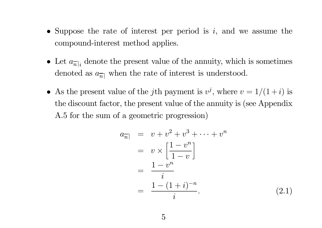- Suppose the rate of interest per period is  $i$ , and we assume the compound-interest method applies.
- Let  $a_{\overline{n}|i}$  denote the present value of the annuity, which is sometimes denoted as  $a_{\overline{n}|}$  when the rate of interest is understood.
- As the present value of the jth payment is  $v^j$ , where  $v = 1/(1+i)$  is the discount factor, the present value of the annuity is (see Appendix A.5 for the sum of <sup>a</sup> geometric progression)

$$
a_{\overline{n}|} = v + v^2 + v^3 + \dots + v^n
$$
  
=  $v \times \left[\frac{1 - v^n}{1 - v}\right]$   
=  $\frac{1 - v^n}{i}$   
=  $\frac{1 - (1 + i)^{-n}}{i}$ . (2.1)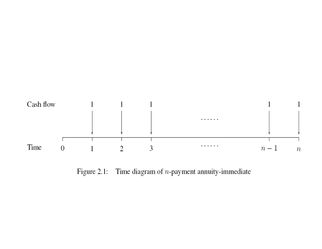

Figure 2.1: Time diagram of  $n$ -payment annuity-immediate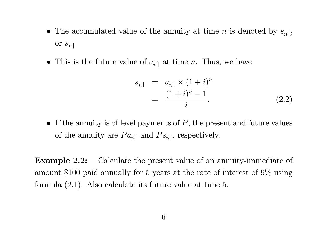- The accumulated value of the annuity at time *n* is denoted by  $s_{\overline{n}|i}$ or  $s_{\overline{n}}$  .
- This is the future value of  $a_{\overline{n}|}$  at time n. Thus, we have

$$
\begin{array}{rcl}\ns_{\overline{n}|} & = & a_{\overline{n}|} \times (1+i)^n \\
& = & \frac{(1+i)^n - 1}{i}.\n\end{array} \tag{2.2}
$$

• If the annuity is of level payments of  $P$ , the present and future values of the annuity are  $Pa_{\overline{n}|}$  and  $Ps_{\overline{n}|}$ , respectively.

Example 2.2: Calculate the present value of an annuity-immediate of amount \$100 paid annually for 5 years at the rate of interest of 9% using formula (2.1). Also calculate its future value at time <sup>5</sup>.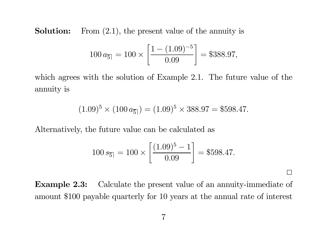Solution:From (2.1), the present value of the annuity is

$$
100 a_{\overline{5}|} = 100 \times \left[ \frac{1 - (1.09)^{-5}}{0.09} \right] = $388.97,
$$

which agrees with the solution of Example 2.1. The future value of the annuity is

$$
(1.09)^5 \times (100 a_{\overline{5}}) = (1.09)^5 \times 388.97 = $598.47.
$$

Alternatively, the future value can be calculated as

$$
100 s_{\overline{5}|} = 100 \times \left[ \frac{(1.09)^5 - 1}{0.09} \right] = $598.47.
$$

 $\Box$ 

Example 2.3: Calculate the present value of an annuity-immediate of amount \$100 payable quarterly for 10 years at the annual rate of interest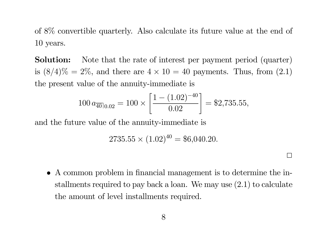of 8% convertible quarterly. Also calculate its future value at the end of 10 years.

Solution: Note that the rate of interest per payment period (quarter) is  $(8/4)\% = 2\%$ , and there are  $4 \times 10 = 40$  payments. Thus, from  $(2.1)$ the present value of the annuity-immediate is

$$
100 a_{\overline{40}|0.02} = 100 \times \left[ \frac{1 - (1.02)^{-40}}{0.02} \right] = $2,735.55,
$$

and the future value of the annuity-immediate is

$$
2735.55 \times (1.02)^{40} = $6,040.20.
$$

• A common problem in financial management is to determine the installments required to pay back <sup>a</sup> loan. We may use (2.1) to calculate the amount of level installments required.

2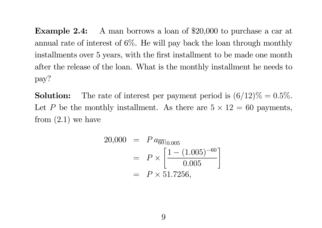Example 2.4: A man borrows a loan of \$20,000 to purchase a car at annual rate of interest of 6%. He will pay back the loan through monthly installments over 5 years, with the first installment to be made one month after the release of the loan. What is the monthly installment he needs to pay?

Solution:The rate of interest per payment period is  $(6/12)\% = 0.5\%.$ Let P be the monthly installment. As there are  $5 \times 12 = 60$  payments, from  $(2.1)$  we have

$$
20,000 = P a_{\overline{60}\mid 0.005}
$$
  
=  $P \times \left[ \frac{1 - (1.005)^{-60}}{0.005} \right]$   
=  $P \times 51.7256$ ,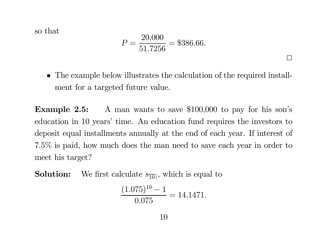so that

$$
P = \frac{20,000}{51.7256} = $386.66.
$$

• The example below illustrates the calculation of the required installment for <sup>a</sup> targeted future value.

 $\Box$ 

**Example 2.5:** A man wants to save \$100,000 to pay for his son's education in 10 years' time. An education fund requires the investors to deposit equal installments annually at the end of each year. If interest of 7.5% is paid, how much does the man need to save each year in order to meet his target?

Solution:We first calculate  $s_{\overline{10}}$ , which is equal to

$$
\frac{(1.075)^{10} - 1}{0.075} = 14.1471.
$$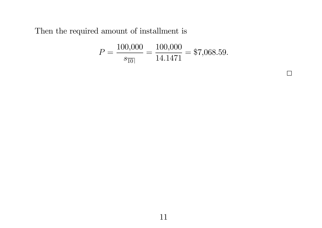Then the required amount of installment is

$$
P = \frac{100,000}{s_{\overline{10}|}} = \frac{100,000}{14.1471} = $7,068.59.
$$

 $\Box$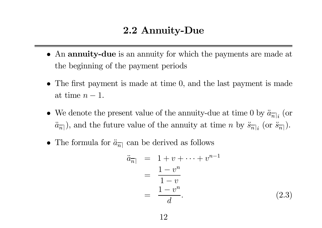#### 2.2 Annuity-Due

- An annuity-due is an annuity for which the payments are made at the beginning of the payment periods
- The first payment is made at time 0, and the last payment is made at time  $n-1$ .
- We denote the present value of the annuity-due at time 0 by  $\ddot{a}_{\overline{n}|i}$  (or  $\it a$ ¨ $\ddot{a}_{\overline{n}}$ ), and the future value of the annuity at time n by  $\ddot{s}_{\overline{n}|i}$  (or  $\ddot{s}_{\overline{n}|i}$ ).
- The formula for  $\ddot{a}_{\overline{n}|}$  can be derived as follows

$$
\ddot{a}_{\overline{n}|} = 1 + v + \dots + v^{n-1} \n= \frac{1 - v^n}{1 - v} \n= \frac{1 - v^n}{d}.
$$
\n(2.3)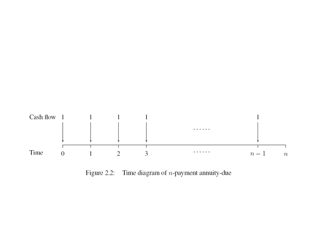

Figure 2.2: Time diagram of  $n$ -payment annuity-due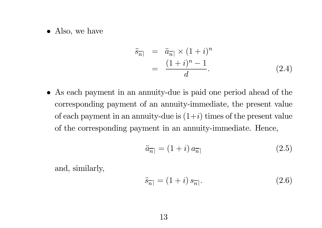• Also, we have

$$
\ddot{s}_{\overline{n}|} = \ddot{a}_{\overline{n}|} \times (1+i)^n \n= \frac{(1+i)^n - 1}{d}.
$$
\n(2.4)

• As each payment in an annuity-due is paid one period ahead of the corresponding payment of an annuity-immediate, the present value of each payment in an annuity-due is  $(1+i)$  times of the present value of the corresponding payment in an annuity-immediate. Hence,

$$
\ddot{a}_{\overline{n}|} = (1+i)a_{\overline{n}|} \tag{2.5}
$$

and, similarly,

$$
\ddot{s}_{\overline{n}|} = (1+i) s_{\overline{n}|}. \tag{2.6}
$$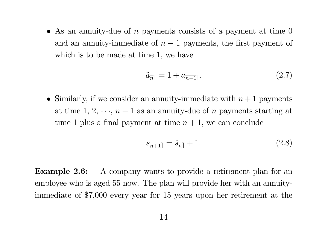• As an annuity-due of n payments consists of a payment at time  $0$ and an annuity-immediate of  $n-1$  payments, the first payment of which is to be made at time 1, we have

$$
\ddot{a}_{\overline{n}|} = 1 + a_{\overline{n-1}|}. \tag{2.7}
$$

• Similarly, if we consider an annuity-immediate with  $n+1$  payments at time 1, 2,  $\cdots$ ,  $n+1$  as an annuity-due of n payments starting at time 1 plus a final payment at time  $n + 1$ , we can conclude

$$
s_{\overline{n+1}} = \ddot{s}_{\overline{n}|} + 1. \tag{2.8}
$$

Example 2.6: A company wants to provide a retirement plan for an employee who is aged 55 now. The plan will provide her with an annuityimmediate of \$7,000 every year for 15 years upon her retirement at the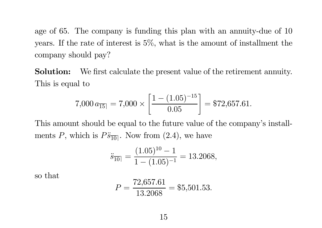age of 65. The company is funding this <sup>p</sup>lan with an annuity-due of 10 years. If the rate of interest is 5%, what is the amount of installment the company should pay?

Solution: We first calculate the present value of the retirement annuity. This is equal to

$$
7,000 a_{\overline{15}} = 7,000 \times \left[ \frac{1 - (1.05)^{-15}}{0.05} \right] = $72,657.61.
$$

This amount should be equal to the future value of the company's installments P, which is  $P\ddot{s}_{\overline{10}}$ . Now from  $(2.4)$ , we have

$$
\ddot{s}_{\overline{10}|} = \frac{(1.05)^{10} - 1}{1 - (1.05)^{-1}} = 13.2068,
$$

so that

$$
P = \frac{72,657.61}{13.2068} = $5,501.53.
$$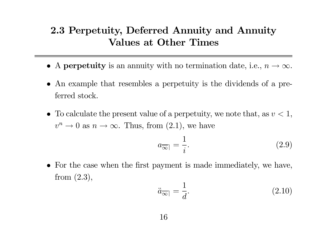#### 2.3 Perpetuity, Deferred Annuity and Annuity Values at Other Times

- A perpetuity is an annuity with no termination date, i.e.,  $n \to \infty$ .
- An example that resembles <sup>a</sup> perpetuity is the dividends of <sup>a</sup> preferred stock.
- To calculate the present value of a perpetuity, we note that, as  $v < 1$ ,  $v\,$  $n \to 0$  as  $n \to \infty$ . Thus, from  $(2.1)$ , we have

$$
a_{\overline{\infty}|} = \frac{1}{i}.\tag{2.9}
$$

• For the case when the first payment is made immediately, we have, from (2.3),

$$
\ddot{a}_{\overline{\infty}|} = \frac{1}{d}.\tag{2.10}
$$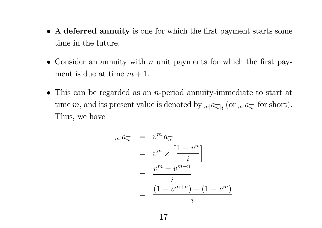- A deferred annuity is one for which the first payment starts some time in the future.
- Consider an annuity with  $n$  unit payments for which the first payment is due at time  $m+1$ .
- This can be regarded as an *n*-period annuity-immediate to start at time m, and its present value is denoted by  $_{m}$ <sub>[angre</sub>] (or  $_{m}$ <sub>[a<sub>ngre</sub>] for short).</sub> Thus, we have

$$
m|a_{\overline{n}|} = v^m a_{\overline{n}|}
$$
  
= 
$$
v^m \times \left[\frac{1 - v^n}{i}\right]
$$
  
= 
$$
\frac{v^m - v^{m+n}}{i}
$$
  
= 
$$
\frac{(1 - v^{m+n}) - (1 - v^m)}{i}
$$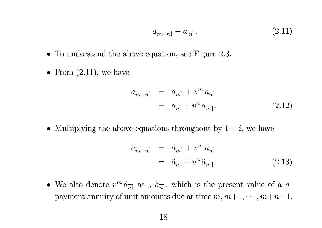$$
= a_{\overline{m+n}} - a_{\overline{m}}. \tag{2.11}
$$

- To understand the above equation, see Figure 2.3.
- From  $(2.11)$ , we have

$$
a_{\overline{m+n}} = a_{\overline{n}|} + v^m a_{\overline{n}|
$$
  
=  $a_{\overline{n}|} + v^n a_{\overline{m}|}.$  (2.12)

• Multiplying the above equations throughout by  $1 + i$ , we have

$$
\ddot{a}_{\overline{m+n}} = \ddot{a}_{\overline{m}} + v^m \ddot{a}_{\overline{n}} \n= \ddot{a}_{\overline{n}} + v^n \ddot{a}_{\overline{m}}.
$$
\n(2.13)

• We also denote  $v^m \ddot{a}_{\overline{n}|}$  as  $m|\ddot{a}_{\overline{n}|}$ , which is the present value of a npayment annuity of unit amounts due at time  $m, m+1, \dots, m+n-1$ .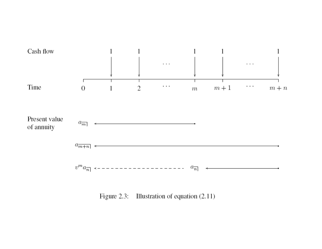

Figure 2.3: Illustration of equation (2.11)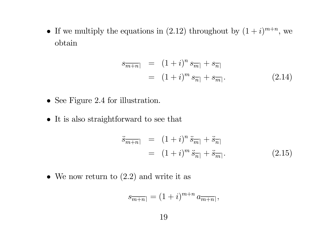• If we multiply the equations in (2.12) throughout by  $(1+i)^{m+n}$ , we obtain

$$
s_{\overline{m+n}} = (1+i)^n s_{\overline{m}} + s_{\overline{n}} = (1+i)^m s_{\overline{n}} + s_{\overline{m}}.
$$
 (2.14)

- See Figure 2.4 for illustration.
- It is also straightforward to see that

$$
\ddot{s}_{\overline{m+n}} = (1+i)^n \ddot{s}_{\overline{m}} + \ddot{s}_{\overline{n}} \n= (1+i)^m \ddot{s}_{\overline{n}} + \ddot{s}_{\overline{m}}.
$$
\n(2.15)

• We now return to  $(2.2)$  and write it as

$$
s_{\overline{m+n}} = (1+i)^{m+n} a_{\overline{m+n}},
$$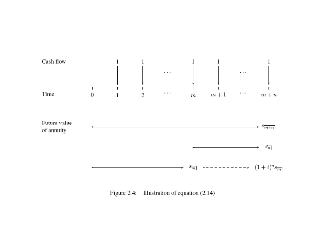

Figure 2.4: Illustration of equation (2.14)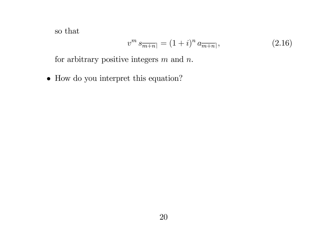so that

$$
v^m s_{\overline{m+n}} = (1+i)^n a_{\overline{m+n}}, \qquad (2.16)
$$

for arbitrary positive integers  $m$  and  $n$ .

 $\bullet$  How do you interpret this equation?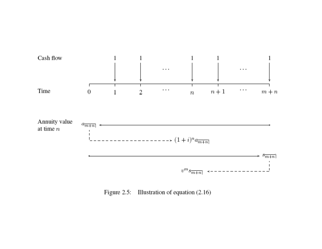

Figure 2.5: Illustration of equation (2.16)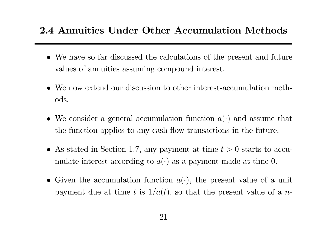#### 2.4 Annuities Under Other Accumulation Methods

- We have so far discussed the calculations of the present and future values of annuities assuming compound interest.
- We now extend our discussion to other interest-accumulation methods.
- We consider a general accumulation function  $a(\cdot)$  and assume that the function applies to any cash-flow transactions in the future.
- As stated in Section 1.7, any payment at time  $t > 0$  starts to accumulate interest according to  $a(\cdot)$  as a payment made at time 0.
- Given the accumulation function  $a(\cdot)$ , the present value of a unit payment due at time t is  $1/a(t)$ , so that the present value of a n-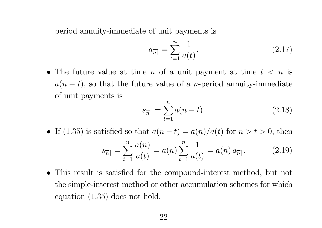period annuity-immediate of unit payments is

$$
a_{\overline{n}|} = \sum_{t=1}^{n} \frac{1}{a(t)}.\tag{2.17}
$$

• The future value at time n of a unit payment at time  $t < n$  is  $a(n-t)$ , so that the future value of a *n*-period annuity-immediate of unit payments is

$$
s_{\overline{n}|} = \sum_{t=1}^{n} a(n-t).
$$
 (2.18)

- If (1.35) is satisfied so that  $a(n-t) = a(n)/a(t)$  for  $n > t > 0$ , then  $s_{\overline{n}|}=\sum^{n}% \frac{1}{s_{n}}\sum^{n}}\left\vert s_{n}\right\vert ^{2}$  $t=1$  $a(n)$  $\frac{a(n)}{a(t)} = a(n) \sum_{t=1}^n$  $t=1$ 1  $\frac{1}{a(t)} = a(n) a$  $(2.19)$
- $\bullet$  This result is satis fied for the compound-interest method, but not the simple-interest method or other accumulation schemes for which equation (1.35) does not hold.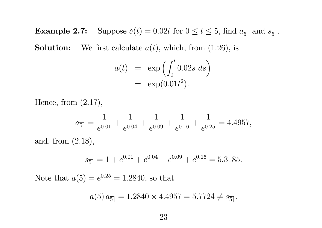**Example 2.7:** Suppose  $\delta(t)=0.02t$  for  $0 \le t \le 5$ , find  $a_{\overline{5}}$  and  $s_{\overline{5}}$ . Solution:We first calculate  $a(t)$ , which, from  $(1.26)$ , is

$$
a(t) = \exp\left(\int_0^t 0.02s \ ds\right)
$$
  
= 
$$
\exp(0.01t^2).
$$

Hence, from (2.17),

$$
a_{\overline{5}|} = \frac{1}{e^{0.01}} + \frac{1}{e^{0.04}} + \frac{1}{e^{0.09}} + \frac{1}{e^{0.16}} + \frac{1}{e^{0.25}} = 4.4957,
$$

and, from (2.18),

$$
s_{\overline{5}|} = 1 + e^{0.01} + e^{0.04} + e^{0.09} + e^{0.16} = 5.3185.
$$

Note that  $a(5) = e^{0.25} = 1.2840$ , so that

$$
a(5) a_{\overline{5}} = 1.2840 \times 4.4957 = 5.7724 \neq s_{\overline{5}}.
$$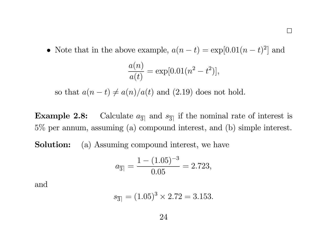$\Box$ 

• Note that in the above example,  $a(n-t) = \exp[0.01(n-t)^2]$  and

$$
\frac{a(n)}{a(t)} = \exp[0.01(n^2 - t^2)],
$$

so that  $a(n-t) \neq a(n)/a(t)$  and (2.19) does not hold.

**Example 2.8:** Calculate  $a_{\overline{3}}$  and  $s_{\overline{3}}$  if the nominal rate of interest is 5% per annum, assuming (a) compound interest, and (b) simple interest.

Solution:(a) Assuming compound interest, we have

$$
a_{\overline{3}|} = \frac{1 - (1.05)^{-3}}{0.05} = 2.723,
$$

and

$$
s_{\overline{3}} = (1.05)^3 \times 2.72 = 3.153.
$$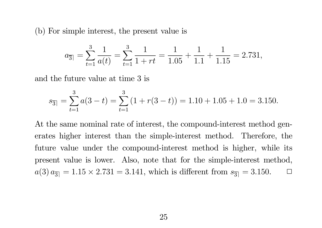(b) For simple interest, the present value is

$$
a_{\overline{3}|} = \sum_{t=1}^{3} \frac{1}{a(t)} = \sum_{t=1}^{3} \frac{1}{1+rt} = \frac{1}{1.05} + \frac{1}{1.1} + \frac{1}{1.15} = 2.731,
$$

and the future value at time 3 is

$$
s_{\overline{3}} = \sum_{t=1}^{3} a(3-t) = \sum_{t=1}^{3} (1 + r(3-t)) = 1.10 + 1.05 + 1.0 = 3.150.
$$

At the same nominal rate of interest, the compound-interest method generates higher interest than the simple-interest method. Therefore, the future value under the compound-interest method is higher, while its present value is lower. Also, note that for the simple-interest method,  $a(3) a_{\overline{3}} = 1.15 \times 2.731 = 3.141$ , which is different from  $s_{\overline{3}} = 3.150$ .  $\Box$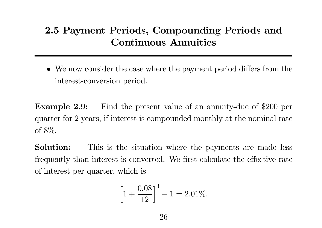### 2.5 Payment Periods, Compounding Periods and Continuous Annuities

• We now consider the case where the payment period differs from the interest-conversion period.

**Example 2.9:** Find the present value of an annuity-due of \$200 per quarter for 2 years, if interest is compounded monthly at the nominal rate of 8%.

Solution: This is the situation where the payments are made less frequently than interest is converted. We first calculate the <sup>e</sup> ffective rate of interest per quarter, which is

$$
\[1 + \frac{0.08}{12}\]^{3} - 1 = 2.01\%.
$$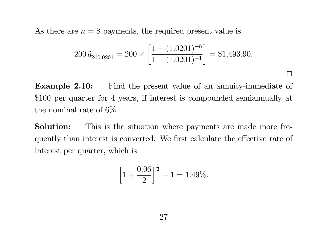As there are  $n = 8$  payments, the required present value is

$$
200 \ddot{a}_{\overline{8}\vert 0.0201} = 200 \times \left[ \frac{1 - (1.0201)^{-8}}{1 - (1.0201)^{-1}} \right] = $1,493.90.
$$

 $\Box$ 

Example 2.10: Find the present value of an annuity-immediate of \$100 per quarter for 4 years, if interest is compounded semiannually at the nominal rate of 6%.

Solution: This is the situation where payments are made more frequently than interest is converted. We first calculate the <sup>e</sup>ffective rate of interest per quarter, which is

$$
\[1 + \frac{0.06}{2}\]^{1/2} - 1 = 1.49\%.
$$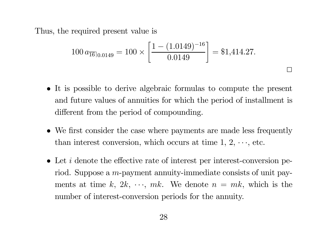Thus, the required present value is

$$
100 a_{\overline{16}|0.0149} = 100 \times \left[ \frac{1 - (1.0149)^{-16}}{0.0149} \right] = $1,414.27.
$$

2

- It is possible to derive algebraic formulas to compute the present and future values of annuities for which the period of installment is di fferent from the period of compounding.
- We first consider the case where payments are made less frequently than interest conversion, which occurs at time  $1, 2, \dots$ , etc.
- Let *i* denote the effective rate of interest per interest-conversion period. Suppose a *m*-payment annuity-immediate consists of unit payments at time k,  $2k, \dots, mk$ . We denote  $n = mk$ , which is the number of interest-conversion periods for the annuity.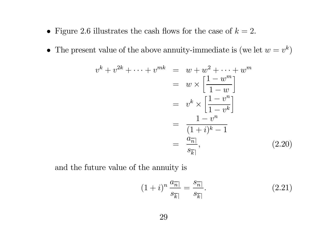- Figure 2.6 illustrates the cash flows for the case of  $k = 2$ .
- The present value of the above annuity-immediate is (we let  $w = v^k$ )

$$
v^{k} + v^{2k} + \dots + v^{mk} = w + w^{2} + \dots + w^{m}
$$

$$
= w \times \left[\frac{1 - w^{m}}{1 - w}\right]
$$

$$
= v^{k} \times \left[\frac{1 - v^{n}}{1 - v^{k}}\right]
$$

$$
= \frac{1 - v^{n}}{(1 + i)^{k} - 1}
$$

$$
= \frac{a_{\overline{n}}}{s_{\overline{k}}}
$$
(2.20)

and the future value of the annuity is

$$
(1+i)^n \frac{a_{\overline{n}|}}{s_{\overline{k}|}} = \frac{s_{\overline{n}|}}{s_{\overline{k}|}}.\tag{2.21}
$$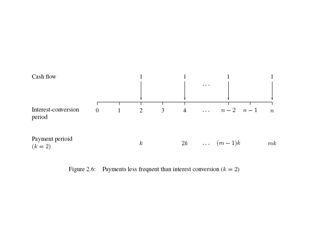

Figure 2.6: Payments less frequent than interest conversion  $(k = 2)$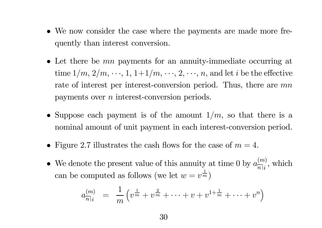- We now consider the case where the payments are made more frequently than interest conversion.
- Let there be  $mn$  payments for an annuity-immediate occurring at time  $1/m, 2/m, \dots, 1, 1+1/m, \dots, 2, \dots, n$ , and let i be the effective rate of interest per interest-conversion period. Thus, there are  $mn$ payments over <sup>n</sup> interest-conversion periods.
- Suppose each payment is of the amount  $1/m$ , so that there is a nominal amount of unit payment in each interest-conversion period.
- Figure 2.7 illustrates the cash flows for the case of  $m = 4$ .
- •• We denote the present value of this annuity at time 0 by  $a_{\overline{n}|i}^{(m)}$ , which can be computed as follows (we let  $w = v^{\frac{1}{m}}$ )

$$
a_{\overline{n}|i}^{(m)} = \frac{1}{m} \left( v^{\frac{1}{m}} + v^{\frac{2}{m}} + \cdots + v + v^{1 + \frac{1}{m}} + \cdots + v^{n} \right)
$$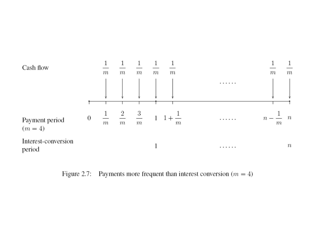

Figure 2.7: Payments more frequent than interest conversion  $(m = 4)$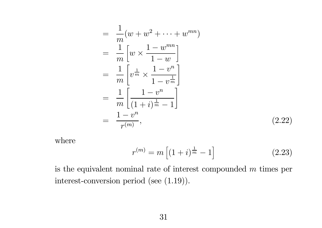$$
= \frac{1}{m}(w+w^{2}+\cdots+w^{mn})
$$
  
\n
$$
= \frac{1}{m}\left[w \times \frac{1-w^{mn}}{1-w}\right]
$$
  
\n
$$
= \frac{1}{m}\left[v^{\frac{1}{m}} \times \frac{1-v^{n}}{1-v^{\frac{1}{m}}}\right]
$$
  
\n
$$
= \frac{1}{m}\left[\frac{1-v^{n}}{(1+i)^{\frac{1}{m}}-1}\right]
$$
  
\n
$$
= \frac{1-v^{n}}{r^{(m)}}, \qquad (2.22)
$$

where

$$
r^{(m)} = m\left[ (1+i)^{\frac{1}{m}} - 1 \right] \tag{2.23}
$$

is the equivalent nominal rate of interest compounded  $m$  times per interest-conversion period (see (1.19)).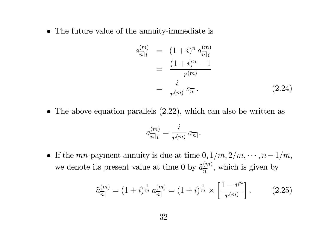• The future value of the annuity-immediate is

$$
s_{\overline{n}|i}^{(m)} = (1+i)^n a_{\overline{n}|i}^{(m)}
$$
  
= 
$$
\frac{(1+i)^n - 1}{r^{(m)}}
$$
  
= 
$$
\frac{i}{r^{(m)}} s_{\overline{n}|}.
$$
 (2.24)

• The above equation parallels (2.22), which can also be written as

$$
a_{\overline{n}|i}^{(m)}=\frac{i}{r^{(m)}}\,a_{\overline{n}|}.
$$

• If the mn-payment annuity is due at time  $0, 1/m, 2/m, \dots, n-1/m$ , we denote its present value at time 0 by  $\ddot{a}_{\overline{n|}}^{(m)}$ , which is given by

$$
\ddot{a}_{\overline{n}|}^{(m)} = (1+i)^{\frac{1}{m}} a_{\overline{n}|}^{(m)} = (1+i)^{\frac{1}{m}} \times \left[ \frac{1-v^n}{r^{(m)}} \right]. \tag{2.25}
$$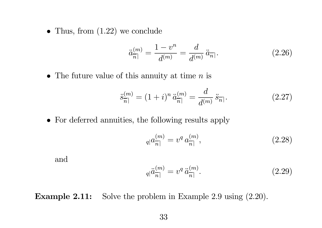• Thus, from  $(1.22)$  we conclude

$$
\ddot{a}_{\overline{n}|}^{(m)} = \frac{1 - v^n}{d^{(m)}} = \frac{d}{d^{(m)}} \ddot{a}_{\overline{n}|}. \tag{2.26}
$$

• The future value of this annuity at time  $n$  is

$$
\ddot{s}_{\overline{n}|}^{(m)} = (1+i)^n \ddot{a}_{\overline{n}|}^{(m)} = \frac{d}{d^{(m)}} \ddot{s}_{\overline{n}|}. \tag{2.27}
$$

• For deferred annuities, the following results apply

$$
q|a_{\overline{n}|}^{(m)} = v^q a_{\overline{n}|}^{(m)},\tag{2.28}
$$

and

$$
q|\ddot{a}_{\overline{n}|}^{(m)} = v^q \ddot{a}_{\overline{n}|}^{(m)}.
$$
\n(2.29)

Example 2.11: Solve the problem in Example 2.9 using  $(2.20)$ .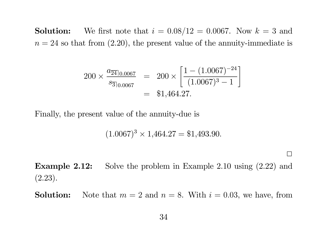Solution:We first note that  $i = 0.08/12 = 0.0067$ . Now  $k = 3$  and  $n = 24$  so that from  $(2.20)$ , the present value of the annuity-immediate is

$$
200 \times \frac{a_{\overline{24}|0.0067}}{s_{\overline{3}|0.0067}} = 200 \times \left[ \frac{1 - (1.0067)^{-24}}{(1.0067)^3 - 1} \right]
$$
  
= \$1,464.27.

Finally, the present value of the annuity-due is

 $(1.0067)^3 \times 1,464.27 = $1,493.90.$ 

Example 2.12: Solve the problem in Example 2.10 using (2.22) and  $(2.23).$ 

 $\Box$ 

Solution: $\therefore$  Note that  $m = 2$  and  $n = 8$ . With  $i = 0.03$ , we have, from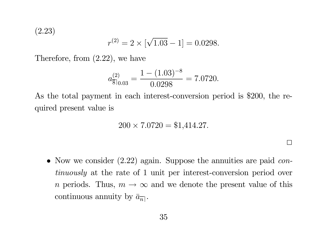(2.23)

$$
r^{(2)} = 2 \times \left[ \sqrt{1.03} - 1 \right] = 0.0298.
$$

Therefore, from (2.22), we have

$$
a_{\overline{8}\vert 0.03}^{(2)} = \frac{1 - (1.03)^{-8}}{0.0298} = 7.0720.
$$

As the total payment in each interest-conversion period is \$200, the required present value is

$$
200 \times 7.0720 = $1,414.27.
$$

• Now we consider  $(2.22)$  again. Suppose the annuities are paid continuously at the rate of 1 unit per interest-conversion period over n periods. Thus,  $m \to \infty$  and we denote the present value of this continuous annuity by  $\bar{a}_{\overline{n}}$ .

 $\Box$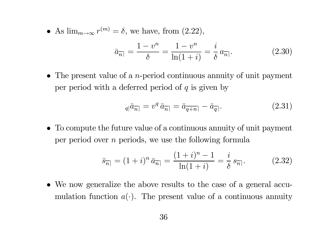• As  $\lim_{m\to\infty} r^{(m)} = \delta$ , we have, from  $(2.22)$ ,

$$
\bar{a}_{\overline{n}|} = \frac{1 - v^n}{\delta} = \frac{1 - v^n}{\ln(1 + i)} = \frac{i}{\delta} a_{\overline{n}|}.
$$
 (2.30)

• The present value of a *n*-period continuous annuity of unit payment per period with a deferred period of  $q$  is given by

$$
_{q\vert}\bar{a}_{\overline{n}\vert} = v^q \,\bar{a}_{\overline{n}\vert} = \bar{a}_{\overline{q+n}\vert} - \bar{a}_{\overline{q}\vert}.
$$

• To compute the future value of <sup>a</sup> continuous annuity of unit payment per period over <sup>n</sup> periods, we use the following formula

$$
\bar{s}_{\overline{n}|} = (1+i)^n \,\bar{a}_{\overline{n}|} = \frac{(1+i)^n - 1}{\ln(1+i)} = \frac{i}{\delta} \, s_{\overline{n}|}. \tag{2.32}
$$

• We now generalize the above results to the case of <sup>a</sup> general accumulation function  $a(\cdot)$ . The present value of a continuous annuity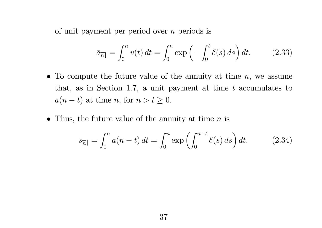of unit payment per period over  $n$  periods is

$$
\bar{a}_{\overline{n}|} = \int_0^n v(t) dt = \int_0^n \exp\left(-\int_0^t \delta(s) ds\right) dt. \tag{2.33}
$$

- To compute the future value of the annuity at time  $n$ , we assume that, as in Section 1.7, a unit payment at time  $t$  accumulates to  $a(n-t)$  at time n, for  $n > t \geq 0$ .
- Thus, the future value of the annuity at time  $n$  is

$$
\bar{s}_{\overline{n}|} = \int_0^n a(n-t) \, dt = \int_0^n \exp\left(\int_0^{n-t} \delta(s) \, ds\right) dt. \tag{2.34}
$$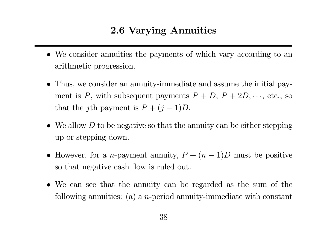#### 2.6 Varying Annuities

- We consider annuities the payments of which vary according to an arithmetic progression.
- Thus, we consider an annuity-immediate and assume the initial payment is P, with subsequent payments  $P + D$ ,  $P + 2D$ ,  $\cdots$ , etc., so that the *j*th payment is  $P + (j$ − $-1)D.$
- We allow  $D$  to be negative so that the annuity can be either stepping up or stepping down.
- However, for a *n*-payment annuity,  $P + (n -1$ ) D must be positive so that negative cash flow is ruled out.
- We can see that the annuity can be regarded as the sum of the following annuities: (a) a *n*-period annuity-immediate with constant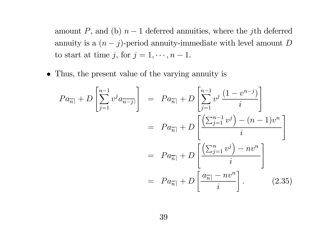amount P, and (b)  $n-1$  deferred annuities, where the jth deferred annuity is a  $(n - j)$ -period annuity-immediate with level amount D to start at time j, for  $j = 1, \dots, n - 1$ .

• Thus, the present value of the varying annuity is

$$
Pa_{\overline{n}|} + D\left[\sum_{j=1}^{n-1} v^j a_{\overline{n-j}|}\right] = Pa_{\overline{n}|} + D\left[\sum_{j=1}^{n-1} v^j \frac{(1-v^{n-j})}{i}\right]
$$

$$
= Pa_{\overline{n}|} + D\left[\frac{\left(\sum_{j=1}^{n-1} v^j\right) - (n-1)v^n}{i}\right]
$$

$$
= Pa_{\overline{n}|} + D\left[\frac{\left(\sum_{j=1}^{n} v^j\right) - nv^n}{i}\right]
$$

$$
= Pa_{\overline{n}|} + D\left[\frac{a_{\overline{n}|} - nv^n}{i}\right].
$$
(2.35)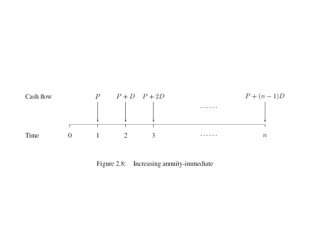

Figure 2.8: Increasing annuity-immediate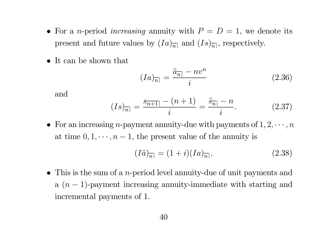- For a *n*-period *increasing* annuity with  $P = D = 1$ , we denote its present and future values by  $(Ia)_{\overline{n}|}$  and  $(Is)_{\overline{n}|}$ , respectively.
- It can be shown that

$$
(Ia)_{\overline{n}|} = \frac{\ddot{a}_{\overline{n}|} - nv^n}{i} \tag{2.36}
$$

and

$$
(Is)_{\overline{n}|} = \frac{s_{\overline{n+1}|} - (n+1)}{i} = \frac{\ddot{s}_{\overline{n}|} - n}{i}.
$$
 (2.37)

• For an increasing *n*-payment annuity-due with payments of  $1, 2, \cdots, n$ at time  $0, 1, \dots, n-1$ , the present value of the annuity is

$$
(I\ddot{a})_{\overline{n}|} = (1+i)(Ia)_{\overline{n}|}. \tag{2.38}
$$

• This is the sum of a *n*-period level annuity-due of unit payments and a  $(n-1)$ -payment increasing annuity-immediate with starting and incremental payments of 1.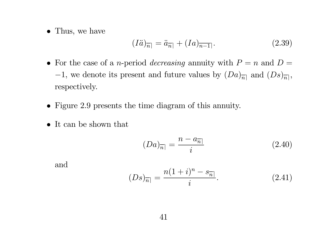• Thus, we have

$$
(I\ddot{a})_{\overline{n}|} = \ddot{a}_{\overline{n}|} + (Ia)_{\overline{n-1}|}. \tag{2.39}
$$

- For the case of a *n*-period *decreasing* annuity with  $P = n$  and  $D =$ −1, we denote its present and future values by  $(Da)_{\overline{n}}$  and  $(Ds)_{\overline{n}}$ , respectively.
- Figure 2.9 presents the time diagram of this annuity.
- It can be shown that

$$
(Da)_{\overline{n}|} = \frac{n - a_{\overline{n}|}}{i} \tag{2.40}
$$

and

$$
(Ds)_{\overline{n}|} = \frac{n(1+i)^n - s_{\overline{n}|}}{i}.
$$
 (2.41)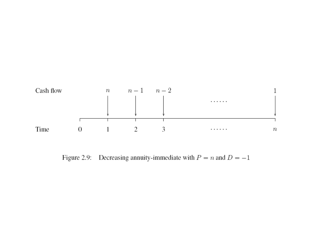

Figure 2.9: Decreasing annuity-immediate with  $P = n$  and  $D = -1$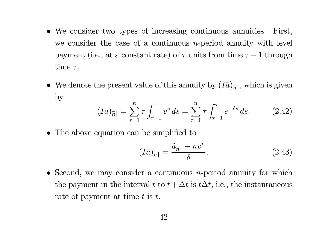- We consider two types of increasing continuous annuities. First, we consider the case of a continuous *n*-period annuity with level payment (i.e., at a constant rate) of  $\tau$  units from time  $\tau - 1$  through  $\textrm{time}$   $\tau.$
- We denote the present value of this annuity by  $(I\bar{a})_{\overline{n}}$ , which is given by

$$
(I\bar{a})_{\overline{n}|} = \sum_{\tau=1}^{n} \tau \int_{\tau-1}^{\tau} v^s \, ds = \sum_{\tau=1}^{n} \tau \int_{\tau-1}^{\tau} e^{-\delta s} \, ds. \tag{2.42}
$$

• The above equation can be simplified to

$$
(I\bar{a})_{\overline{n}|} = \frac{\ddot{a}_{\overline{n}|} - nv^n}{\delta}.
$$
\n(2.43)

• Second, we may consider a continuous *n*-period annuity for which the payment in the interval t to  $t + \Delta t$  is  $t\Delta t$ , i.e., the instantaneous rate of payment at time  $t$  is  $t$ .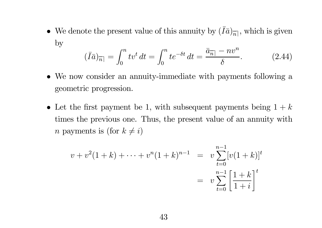• We denote the present value of this annuity by  $(\bar{I})$  $I\bar{a})_{\overline{n}|},$  which is given by

$$
(\bar{I}\bar{a})_{\bar{n}|} = \int_0^n tv^t \, dt = \int_0^n t e^{-\delta t} \, dt = \frac{\bar{a}_{\bar{n}|} - nv^n}{\delta}.
$$
 (2.44)

- We now consider an annuity-immediate with payments following <sup>a</sup> geometric progression.
- Let the first payment be 1, with subsequent payments being  $1 + k$ times the previous one. Thus, the present value of an annuity with *n* payments is (for  $k \neq i$ )

$$
v + v^{2}(1 + k) + \dots + v^{n}(1 + k)^{n-1} = v \sum_{t=0}^{n-1} [v(1 + k)]^{t}
$$
  
= 
$$
v \sum_{t=0}^{n-1} \left[ \frac{1 + k}{1 + i} \right]^{t}
$$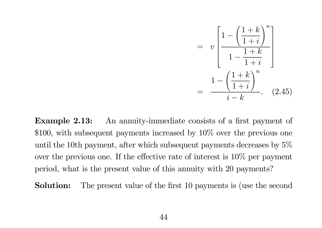

**Example 2.13:** An annuity-immediate consists of a first payment of \$100, with subsequent payments increased by 10\% over the previous one until the 10th payment, after which subsequent payments decreases by 5% over the previous one. If the <sup>e</sup>ffective rate of interest is 10% per payment period, what is the present value of this annuity with 20 payments?

Solution:The present value of the first <sup>10</sup> payments is (use the second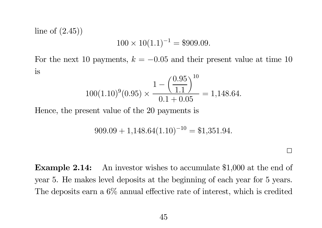line of  $(2.45)$ 

$$
100 \times 10(1.1)^{-1} = $909.09.
$$

For the next 10 payments,  $k = -0.05$  and their present value at time 10 is

$$
100(1.10)^9(0.95) \times \frac{1 - \left(\frac{0.95}{1.1}\right)^{10}}{0.1 + 0.05} = 1,148.64.
$$

Hence, the present value of the 20 payments is

$$
909.09 + 1,148.64(1.10)^{-10} = $1,351.94.
$$

 $\Box$ 

Example 2.14: An investor wishes to accumulate \$1,000 at the end of year 5. He makes level deposits at the beginning of each year for 5 years. The deposits earn <sup>a</sup> 6% annual <sup>e</sup>ffective rate of interest, which is credited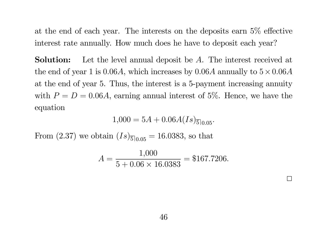at the end of each year. The interests on the deposits earn 5% <sup>e</sup> ffective interest rate annually. How much does he have to deposit each year?

Solution: Let the level annual deposit be A. The interest received at the end of year 1 is 0.06A, which increases by  $0.06A$  annually to  $5 \times 0.06A$ at the end of year 5. Thus, the interest is <sup>a</sup> 5-payment increasing annuity with  $P = D = 0.06A$ , earning annual interest of 5%. Hence, we have the equation

 $1{,}000=5A+0{.}06A(Is)_{\overline{5}\mid 0.05}.$ 

From  $(2.37)$  we obtain  $(Is)_{\overline{5}\vert_{0.05}} = 16.0383$ , so that

$$
A = \frac{1,000}{5 + 0.06 \times 16.0383} = $167.7206.
$$

 $\perp$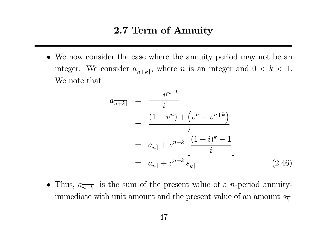#### 2.7 Term of Annuity

• We now consider the case where the annuity period may not be an integer. We consider  $a_{\overline{n+k}}$ , where *n* is an integer and  $0 < k < 1$ . We note that

$$
a_{\overline{n+k}} = \frac{1 - v^{n+k}}{i}
$$
  
= 
$$
\frac{(1 - v^n) + (v^n - v^{n+k})}{i}
$$
  
= 
$$
a_{\overline{n}|} + v^{n+k} \left[ \frac{(1 + i)^k - 1}{i} \right]
$$
  
= 
$$
a_{\overline{n}|} + v^{n+k} s_{\overline{k}|}.
$$
 (2.46)

• Thus,  $a_{\overline{n+k}}$  is the sum of the present value of a *n*-period annuityimmediate with unit amount and the present value of an amount  $s_{\overline{k}\rceil}$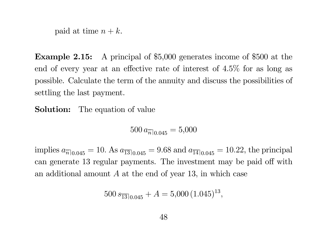paid at time  $n + k$ .

Example 2.15: A principal of \$5,000 generates income of \$500 at the end of every year at an <sup>e</sup>ffective rate of interest of 4.5% for as long as possible. Calculate the term of the annuity and discuss the possibilities of settling the last payment.

Solution:The equation of value

 $500\, a_{\overline{n}|0.045} = 5,\!000$ 

implies  $a_{\overline{n}|0.045} = 10$ . As  $a_{\overline{13}|0.045} = 9.68$  and  $a_{\overline{14}|0.045} = 10.22$ , the principal can generate 13 regular payments. The investment may be paid <sup>o</sup>ff with an additional amount  $A$  at the end of year 13, in which case

$$
500 s_{\overline{13}|0.045} + A = 5{,}000 (1.045)^{13},
$$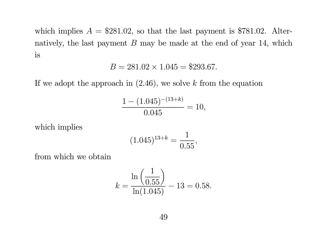which implies  $A = $281.02$ , so that the last payment is \$781.02. Alternatively, the last payment  $B$  may be made at the end of year 14, which is

$$
B = 281.02 \times 1.045 = $293.67.
$$

If we adopt the approach in  $(2.46)$ , we solve k from the equation

$$
\frac{1 - (1.045)^{-(13+k)}}{0.045} = 10,
$$

which implies

$$
(1.045)^{13+k} = \frac{1}{0.55},
$$

from which we obtain

$$
k = \frac{\ln\left(\frac{1}{0.55}\right)}{\ln(1.045)} - 13 = 0.58.
$$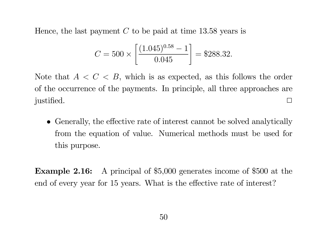Hence, the last payment  $C$  to be paid at time 13.58 years is

$$
C = 500 \times \left[ \frac{(1.045)^{0.58} - 1}{0.045} \right] = $288.32.
$$

Note that  $A < C < B$ , which is as expected, as this follows the order of the occurrence of the payments. In principle, all three approaches are justified.

• Generally, the <sup>e</sup>ffective rate of interest cannot be solved analytically from the equation of value. Numerical methods must be used for this purpose.

Example 2.16: A principal of \$5,000 generates income of \$500 at the end of every year for 15 years. What is the <sup>e</sup>ffective rate of interest?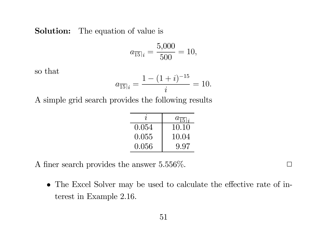#### **Solution:** The equation of value is

$$
a_{\overline{15}|i} = \frac{5,000}{500} = 10,
$$

so that

$$
a_{\overline{15}|i} = \frac{1 - (1+i)^{-15}}{i} = 10.
$$

A simple grid search provides the following results

| $\overline{\mathbf{r}}$ | $a_{\overline{15} i}$ |
|-------------------------|-----------------------|
| 0.054                   | 10.10                 |
| 0.055                   | 10.04                 |
| 0.056                   | 9.97                  |

A finer search provides the answer  $5.556\%$ .

• The Excel Solver may be used to calculate the <sup>e</sup>ffective rate of interest in Example 2.16.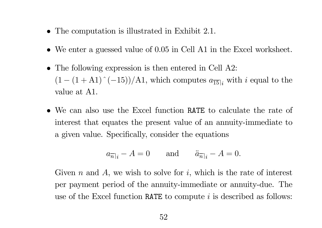- The computation is illustrated in Exhibit 2.1.
- We enter a guessed value of 0.05 in Cell A1 in the Excel worksheet.
- The following expression is then entered in Cell A2:  $(1 - (1 + A1)^{-1}(-15))/A1$ , which computes  $a_{\overline{15}|i}$  with i equal to the value at A1.
- We can also use the Excel function RATE to calculate the rate of interest that equates the present value of an annuity-immediate to <sup>a</sup> given value. Specifically, consider the equations

$$
a_{\overline{n}|i} - A = 0 \quad \text{and} \quad \ddot{a}_{\overline{n}|i} - A = 0.
$$

Given n and A, we wish to solve for i, which is the rate of interest per payment period of the annuity-immediate or annuity-due. The use of the Excel function RATE to compute  $i$  is described as follows: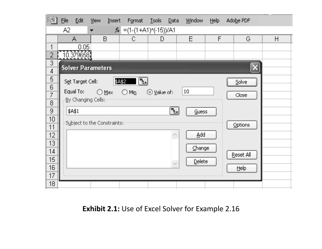| 理】                            | <b>File</b>                                                                                     | Edit             | View | Insert       | F <u>o</u> rmat <u>T</u> ools |              | <b>Data</b> | Window | Help |  | Adobe PDF |   |  |
|-------------------------------|-------------------------------------------------------------------------------------------------|------------------|------|--------------|-------------------------------|--------------|-------------|--------|------|--|-----------|---|--|
|                               | $f_x = (1-(1+A1)^n(-15))/A1$<br>A2<br>$\blacksquare$                                            |                  |      |              |                               |              |             |        |      |  |           |   |  |
|                               |                                                                                                 | А                |      | $\mathsf{B}$ | C                             | $\mathsf{D}$ |             | E      | F    |  | G         | H |  |
| $\overline{\phantom{a}}$      |                                                                                                 | 0.05             |      |              |                               |              |             |        |      |  |           |   |  |
| $\overline{2}$                |                                                                                                 | 10.379658)       |      |              |                               |              |             |        |      |  |           |   |  |
| $\mathbb S$<br>$\overline{4}$ | <b>Solver Parameters</b>                                                                        |                  |      |              |                               |              |             |        |      |  |           |   |  |
| 5<br>6                        |                                                                                                 | Set Target Cell: |      |              | \$A\$2<br>[3.                 |              |             |        |      |  | Solve     |   |  |
| $\overline{7}$                | Equal To:<br>$10\,$<br>$\bigcirc$ Max<br>⊙ Value of:<br>$\bigcirc$<br>Min<br>Close <sup>®</sup> |                  |      |              |                               |              |             |        |      |  |           |   |  |
| $\overline{\mathbf{B}}$       | <u>B</u> y Changing Cells:                                                                      |                  |      |              |                               |              |             |        |      |  |           |   |  |
| $\mathbf 9$                   | $[\mathbb{L}]$<br>\$A\$1<br><b>Guess</b>                                                        |                  |      |              |                               |              |             |        |      |  |           |   |  |
| 10                            |                                                                                                 |                  |      |              |                               |              |             |        |      |  |           |   |  |
| 11                            | Subject to the Constraints:<br>Options                                                          |                  |      |              |                               |              |             |        |      |  |           |   |  |
| 12                            | Add                                                                                             |                  |      |              |                               |              |             |        |      |  |           |   |  |
| 13                            |                                                                                                 |                  |      |              |                               |              |             |        |      |  |           |   |  |
| 14                            | Change<br>Reset All                                                                             |                  |      |              |                               |              |             |        |      |  |           |   |  |
| 15                            | Delete<br>$\gamma_{\rm p}$                                                                      |                  |      |              |                               |              |             |        |      |  |           |   |  |
| 16                            |                                                                                                 |                  |      |              |                               |              |             |        |      |  | Help      |   |  |
| 17                            |                                                                                                 |                  |      |              |                               |              |             |        |      |  |           |   |  |
| 18                            |                                                                                                 |                  |      |              |                               |              |             |        |      |  |           |   |  |

**Exhibit 2.1:** Use of Excel Solver for Example 2.16